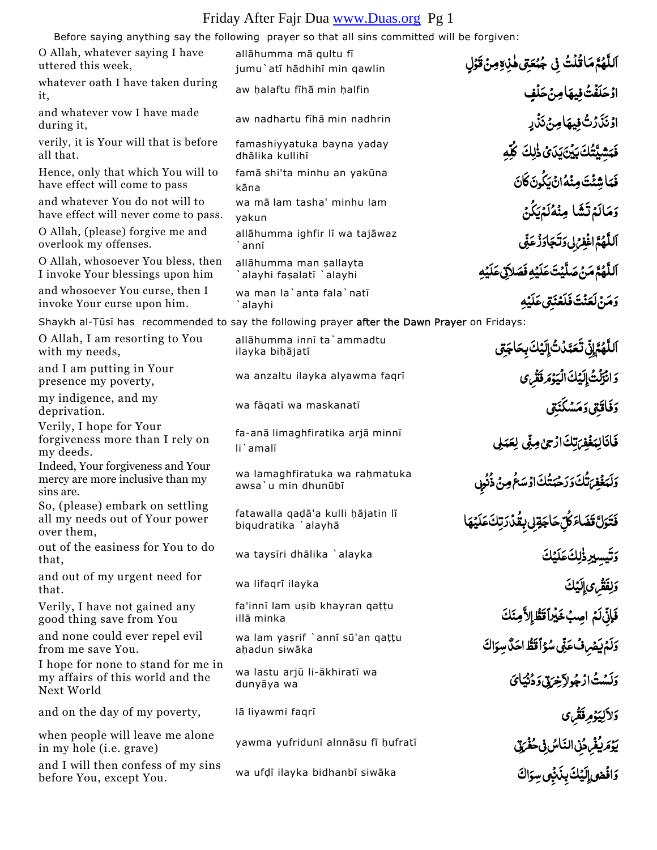## Friday After Fajr Dua www.Duas.org Pg 1

| Before saying anything say the following prayer so that all sins committed will be forgiven: |                                                          |                                                                                                                             |  |  |
|----------------------------------------------------------------------------------------------|----------------------------------------------------------|-----------------------------------------------------------------------------------------------------------------------------|--|--|
| O Allah, whatever saying I have<br>uttered this week,                                        | allāhumma mā qultu fī<br>jumu'atī hādhihī min qawlin     | ٱللَّهُمَّ مَاقُلُتُ فِي جُُمَعَتِي هٰذِهِ مِنۡ قَوۡلِ                                                                      |  |  |
| whatever oath I have taken during<br>it,                                                     | aw halaftu fīhā min halfin                               | ا <b>دْحَلَفْتُ فِيهَامِنْحَلْفِ</b>                                                                                        |  |  |
| and whatever vow I have made<br>during it,                                                   | aw nadhartu fīhā min nadhrin                             | اوْنَذَرْتُ فِيهَامِنْ نَذْرٍ                                                                                               |  |  |
| verily, it is Your will that is before<br>all that.                                          | famashiyyatuka bayna yaday<br>dhālika kullihī            | فَبَشَيَّتُكَ بَيْنَ يَدَىُ ذَٰلِكَ كُلَّهِ                                                                                 |  |  |
| Hence, only that which You will to<br>have effect will come to pass                          | famā shi'ta minhu an yakūna<br>kāna                      | فَبَاشِئْتَ مِنْهُ انْ يَكُونَ كَانَ                                                                                        |  |  |
| and whatever You do not will to<br>have effect will never come to pass.                      | wa mā lam tasha' minhu lam<br>yakun                      | وَمَالَمْ تَشَا مِنْهُلَمْيَكُنُ                                                                                            |  |  |
| O Allah, (please) forgive me and<br>overlook my offenses.                                    | allāhumma ighfir lī wa tajāwaz<br>`annī                  | ٱللَّهُمَّ اغْفِرُلى وَتَجَاوَزُعَنِّى                                                                                      |  |  |
| O Allah, whosoever You bless, then<br>I invoke Your blessings upon him                       | allāhumma man sallayta<br>`alayhi faşalatī `alayhi       | ٱللَّٰهُمَّ مَنۡ صَلَّیۡتَ عَلَیۡهِ فَمَ                                                                                    |  |  |
| and whosoever You curse, then I<br>invoke Your curse upon him.                               | wa man la'anta fala'natī<br>`alayhi                      | <b>وَمَنْ لَعَنْتَ فَلَعْنَتَى عَلَيْه</b>                                                                                  |  |  |
| Shaykh al-Tūsī has recommended to say the following prayer after the Dawn Prayer on Fridays: |                                                          |                                                                                                                             |  |  |
| O Allah, I am resorting to You<br>with my needs,                                             | allāhumma innī ta`ammadtu<br>ilayka bihājatī             | ٱللَّهُمَّاتِّ تَعَمَّدُتُۚ إِلَيۡكَ بِحَاجَةِى                                                                             |  |  |
| and I am putting in Your<br>presence my poverty,                                             | wa anzaltu ilayka alyawma faqrī                          | وَانْزَلْتُ[إِيَكَ الْيَوْمَ فَقْرِى                                                                                        |  |  |
| my indigence, and my<br>deprivation.                                                         | wa fāqatī wa maskanatī                                   | <b>دَفَاقَتِی دَمَسْکَنَتِی</b>                                                                                             |  |  |
| Verily, I hope for Your<br>forgiveness more than I rely on<br>my deeds.                      | fa-anā limaghfiratika arjā minnī<br>li'amalī             | فَانَالِبَغْفِرَتِكَادُجُلِهِيْ لِعَبَلِي                                                                                   |  |  |
| Indeed, Your forgiveness and Your<br>mercy are more inclusive than my<br>sins are.           | wa lamaghfiratuka wa raḥmatuka<br>awsa'u min dhunūbī     | <sub>ا</sub> تُّكَ وَرَحْبَتُكَ اوْسَعُ مِنْ ذُنُو <sub>ٰ</sub> ى                                                           |  |  |
| So, (please) embark on settling<br>all my needs out of Your power<br>over them,              | fatawalla qadā'a kulli hājatin lī<br>biqudratika `alayhā |                                                                                                                             |  |  |
| out of the easiness for You to do<br>that,                                                   | wa taysiri dhalika `alayka                               | <b>ڡؘ</b> ۧؾؘۘۅؘڷ <b>ٞڡۧڞؘ</b> ٲػ <b>ڷڸۜ</b> ڂٵڿۊڸڹؚڠؙۮؙۯؖؾؚڬؘڡؘڶؽٙۿ<br>ؘۯؾؠڛٟؠڔڂ۬ٳٮڬڡؘڶؽڬ                                  |  |  |
| and out of my urgent need for<br>that.                                                       | wa lifaqrī ilayka                                        | وَلِفَقْرِى إِلَيْكَ                                                                                                        |  |  |
| Verily, I have not gained any<br>good thing save from You                                    | fa'innī lam uşib khayran qattu<br>illā minka             | فَإِنِّلَمُ اصِبُخَيْراًقَطّْإِلاَّمِنَكَ                                                                                   |  |  |
| and none could ever repel evil<br>from me save You.                                          | wa lam yaşrif `annī sū'an qattu<br>ahadun siwāka         | وَلَمْ يَصْرِفُ عَنِّى سُوَّأَقَطُّ احَدٌّ سِوَاكَ                                                                          |  |  |
| I hope for none to stand for me in<br>my affairs of this world and the<br>Next World         | wa lastu arjū li-ākhiratī wa<br>dunyāya wa               | وَلَسْتُ ارْجُولاَخِرَيْنَ دَدْنُيَائَ                                                                                      |  |  |
| and on the day of my poverty,                                                                | lā liyawmi faqrī                                         |                                                                                                                             |  |  |
| when people will leave me alone<br>in my hole (i.e. grave)                                   | yawma yufridunī alnnāsu fī hufratī                       | وَلاَلِيَوْمِرفَقْرِی<br>يَوۡمَلِيُفۡهِ دُنِیۡالنَّاسُ فِیۡحُفۡرَتِیۡ<br>وَافۡعۡع <sub>َلِ</sub> الِیۡكَ بِذَٰبۡهِی سِوَاكَ |  |  |
| and I will then confess of my sins<br>before You, except You.                                | wa ufdī ilayka bidhanbī siwāka                           |                                                                                                                             |  |  |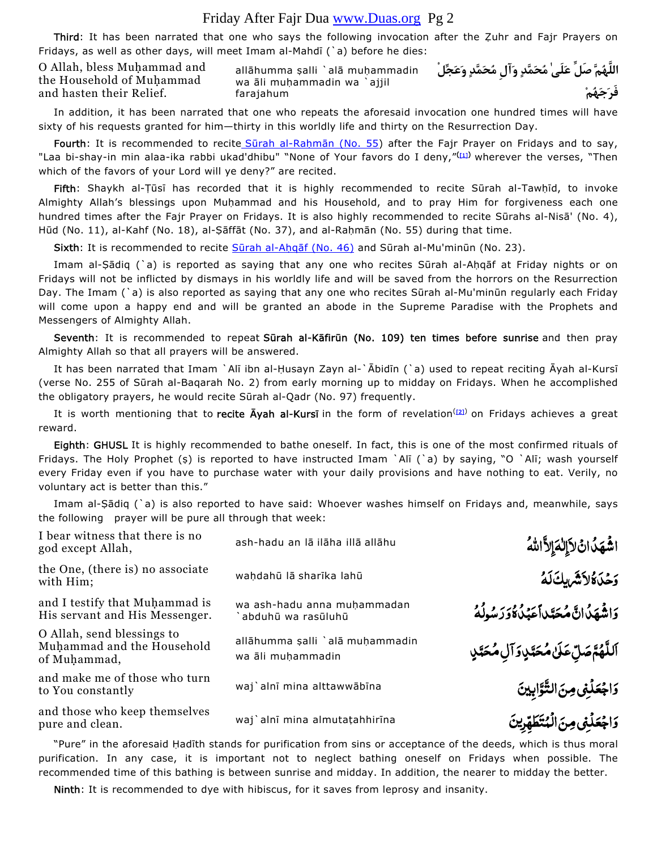## Friday After Fajr Dua www.Duas.org Pg 2

Third: It has been narrated that one who says the following invocation after the Zuhr and Fajr Prayers on Fridays, as well as other days, will meet Imam al-Mahdī  $($ a) before he dies:

O Allah, bless Muhammad and the Household of Muhammad and hasten their Relief.

allāhumma şalli `alā muhammadin wa ali muhammadin wa `ajjil farajahum

**اللَّهُمَّ صَلِّ عَلَىٰ مُحَمَّدٍ وَآلِ مُحَمَّدٍ وَعَجِّلْ فَرَجَهُمْ**

In addition, it has been narrated that one who repeats the aforesaid invocation one hundred times will have sixty of his requests granted for him—thirty in this worldly life and thirty on the Resurrection Day.

Fourth: It is recommended to recite Sūrah al-Rahmān (No. 55) after the Fajr Prayer on Fridays and to say, "Laa bi-shay-in min alaa-ika rabbi ukad'dhibu" "None of Your favors do I deny,"<sup>([1])</sup> wherever the verses, "Then which of the favors of your Lord will ye deny?" are recited.

Fifth: Shaykh al-Țūsī has recorded that it is highly recommended to recite Sūrah al-Tawhīd, to invoke Almighty Allah's blessings upon Muhammad and his Household, and to pray Him for forgiveness each one hundred times after the Fajr Prayer on Fridays. It is also highly recommended to recite Sūrahs al-Nisā' (No. 4), Hūd (No. 11), al-Kahf (No. 18), al-Ṣāffāt (No. 37), and al-Raḥmān (No. 55) during that time.

Sixth: It is recommended to recite Sūrah al-Ahqāf (No. 46) and Sūrah al-Mu'minūn (No. 23).

Imam al-Ṣādiq (`a) is reported as saying that any one who recites Sūrah al-Aḥqāf at Friday nights or on Fridays will not be inflicted by dismays in his worldly life and will be saved from the horrors on the Resurrection Day. The Imam (`a) is also reported as saying that any one who recites Sūrah al-Mu'minūn regularly each Friday will come upon a happy end and will be granted an abode in the Supreme Paradise with the Prophets and Messengers of Almighty Allah.

Seventh: It is recommended to repeat Sūrah al-Kāfirūn (No. 109) ten times before sunrise and then pray Almighty Allah so that all prayers will be answered.

It has been narrated that Imam `Alī ibn al-Ḥusayn Zayn al-`Ābidīn (`a) used to repeat reciting Āyah al-Kursī (verse No. 255 of Sūrah al-Baqarah No. 2) from early morning up to midday on Fridays. When he accomplished the obligatory prayers, he would recite Sūrah al-Qadr (No. 97) frequently.

It is worth mentioning that to recite Ayah al-Kursi in the form of revelation<sup>([2])</sup> on Fridays achieves a great reward.

Eighth: GHUSL It is highly recommended to bathe oneself. In fact, this is one of the most confirmed rituals of Fridays. The Holy Prophet (ș) is reported to have instructed Imam `Alī (`a) by saying, "O `Alī; wash yourself every Friday even if you have to purchase water with your daily provisions and have nothing to eat. Verily, no voluntary act is better than this."

Imam al-Ṣādiq (`a) is also reported to have said: Whoever washes himself on Fridays and, meanwhile, says the following prayer will be pure all through that week:

| I bear witness that there is no<br>god except Allah,                     | ash-hadu an lā ilāha illā allāhu                     | <b>اشْهَدُانُ لاَإِلٰهَ</b> إِلاَّاللهُ          |
|--------------------------------------------------------------------------|------------------------------------------------------|--------------------------------------------------|
| the One, (there is) no associate<br>with Him;                            | wahdahū lā sharīka lahū                              | <b>وَحَدَةُلاَشَّ لِكَ لَهُ</b>                  |
| and I testify that Muhammad is<br>His servant and His Messenger.         | wa ash-hadu anna muhammadan<br>abduhū wa rasūluhū    | ِ وَاشْهَدُ انَّ مُحَتَّداً عَبْدُ وَوَرَسُولُهُ |
| O Allah, send blessings to<br>Muhammad and the Household<br>of Muhammad, | allāhumma șalli `alā muhammadin<br>wa ali muhammadin | ٱللَّهُمَّصَلِّعَلَىٰ مُحَمَّدٍ، وَآلِ مُحَمَّدٍ |
| and make me of those who turn<br>to You constantly                       | waj`alnī mina alttawwābīna                           | وَاجْعَلُنِي مِنَ التَّوَّابِينَ                 |
| and those who keep themselves<br>pure and clean.                         | waj`alnī mina almutațahhirīna                        | وَاجْعَلُّفِي مِنَ الْمُتَطَّهِّرِينَ            |
|                                                                          |                                                      |                                                  |

"Pure" in the aforesaid Hadīth stands for purification from sins or acceptance of the deeds, which is thus moral purification. In any case, it is important not to neglect bathing oneself on Fridays when possible. The recommended time of this bathing is between sunrise and midday. In addition, the nearer to midday the better.

Ninth: It is recommended to dye with hibiscus, for it saves from leprosy and insanity.